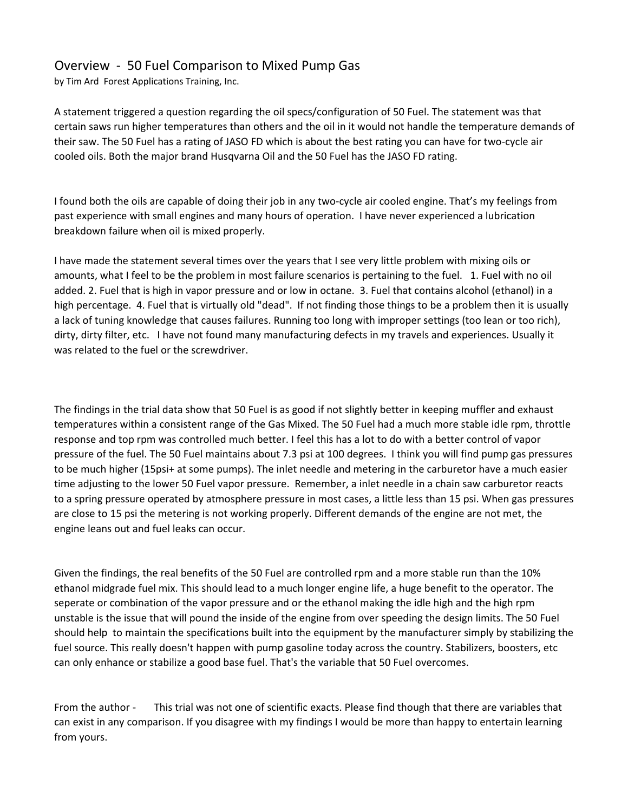## Overview - 50 Fuel Comparison to Mixed Pump Gas

by Tim Ard Forest Applications Training, Inc.

A statement triggered a question regarding the oil specs/configuration of 50 Fuel. The statement was that certain saws run higher temperatures than others and the oil in it would not handle the temperature demands of their saw. The 50 Fuel has a rating of JASO FD which is about the best rating you can have for two-cycle air cooled oils. Both the major brand Husqvarna Oil and the 50 Fuel has the JASO FD rating.

I found both the oils are capable of doing their job in any two-cycle air cooled engine. That's my feelings from past experience with small engines and many hours of operation. I have never experienced a lubrication breakdown failure when oil is mixed properly.

I have made the statement several times over the years that I see very little problem with mixing oils or amounts, what I feel to be the problem in most failure scenarios is pertaining to the fuel. 1. Fuel with no oil added. 2. Fuel that is high in vapor pressure and or low in octane. 3. Fuel that contains alcohol (ethanol) in a high percentage. 4. Fuel that is virtually old "dead". If not finding those things to be a problem then it is usually a lack of tuning knowledge that causes failures. Running too long with improper settings (too lean or too rich), dirty, dirty filter, etc. I have not found many manufacturing defects in my travels and experiences. Usually it was related to the fuel or the screwdriver.

The findings in the trial data show that 50 Fuel is as good if not slightly better in keeping muffler and exhaust temperatures within a consistent range of the Gas Mixed. The 50 Fuel had a much more stable idle rpm, throttle response and top rpm was controlled much better. I feel this has a lot to do with a better control of vapor pressure of the fuel. The 50 Fuel maintains about 7.3 psi at 100 degrees. I think you will find pump gas pressures to be much higher (15psi+ at some pumps). The inlet needle and metering in the carburetor have a much easier time adjusting to the lower 50 Fuel vapor pressure. Remember, a inlet needle in a chain saw carburetor reacts to a spring pressure operated by atmosphere pressure in most cases, a little less than 15 psi. When gas pressures are close to 15 psi the metering is not working properly. Different demands of the engine are not met, the engine leans out and fuel leaks can occur.

Given the findings, the real benefits of the 50 Fuel are controlled rpm and a more stable run than the 10% ethanol midgrade fuel mix. This should lead to a much longer engine life, a huge benefit to the operator. The seperate or combination of the vapor pressure and or the ethanol making the idle high and the high rpm unstable is the issue that will pound the inside of the engine from over speeding the design limits. The 50 Fuel should help to maintain the specifications built into the equipment by the manufacturer simply by stabilizing the fuel source. This really doesn't happen with pump gasoline today across the country. Stabilizers, boosters, etc can only enhance or stabilize a good base fuel. That's the variable that 50 Fuel overcomes.

From the author - This trial was not one of scientific exacts. Please find though that there are variables that can exist in any comparison. If you disagree with my findings I would be more than happy to entertain learning from yours.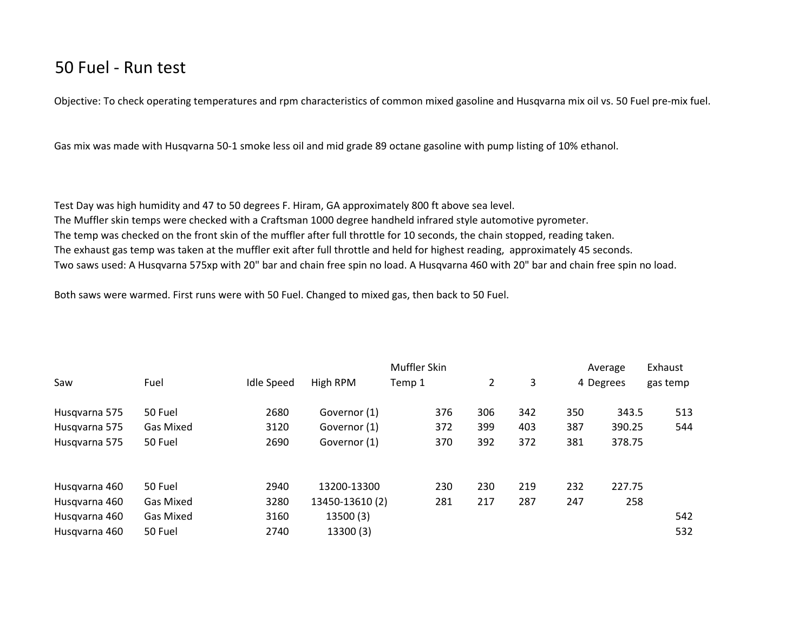## 50 Fuel - Run test

Objective: To check operating temperatures and rpm characteristics of common mixed gasoline and Husqvarna mix oil vs. 50 Fuel pre-mix fuel.

Gas mix was made with Husqvarna 50-1 smoke less oil and mid grade 89 octane gasoline with pump listing of 10% ethanol.

Test Day was high humidity and 47 to 50 degrees F. Hiram, GA approximately 800 ft above sea level. The Muffler skin temps were checked with a Craftsman 1000 degree handheld infrared style automotive pyrometer. The temp was checked on the front skin of the muffler after full throttle for 10 seconds, the chain stopped, reading taken. The exhaust gas temp was taken at the muffler exit after full throttle and held for highest reading, approximately 45 seconds. Two saws used: A Husqvarna 575xp with 20" bar and chain free spin no load. A Husqvarna 460 with 20" bar and chain free spin no load.

Both saws were warmed. First runs were with 50 Fuel. Changed to mixed gas, then back to 50 Fuel.

|               |                  |                   |                 | Muffler Skin |     |     |     | Average   | Exhaust  |
|---------------|------------------|-------------------|-----------------|--------------|-----|-----|-----|-----------|----------|
| Saw           | Fuel             | <b>Idle Speed</b> | High RPM        | Temp 1       | 2   | 3   |     | 4 Degrees | gas temp |
| Husqvarna 575 | 50 Fuel          | 2680              | Governor (1)    | 376          | 306 | 342 | 350 | 343.5     | 513      |
| Husqvarna 575 | <b>Gas Mixed</b> | 3120              | Governor (1)    | 372          | 399 | 403 | 387 | 390.25    | 544      |
| Husqvarna 575 | 50 Fuel          | 2690              | Governor (1)    | 370          | 392 | 372 | 381 | 378.75    |          |
| Husqvarna 460 | 50 Fuel          | 2940              | 13200-13300     | 230          | 230 | 219 | 232 | 227.75    |          |
| Husqvarna 460 | <b>Gas Mixed</b> | 3280              | 13450-13610 (2) | 281          | 217 | 287 | 247 | 258       |          |
| Husqvarna 460 | <b>Gas Mixed</b> | 3160              | 13500 (3)       |              |     |     |     |           | 542      |
| Husqvarna 460 | 50 Fuel          | 2740              | 13300 (3)       |              |     |     |     |           | 532      |